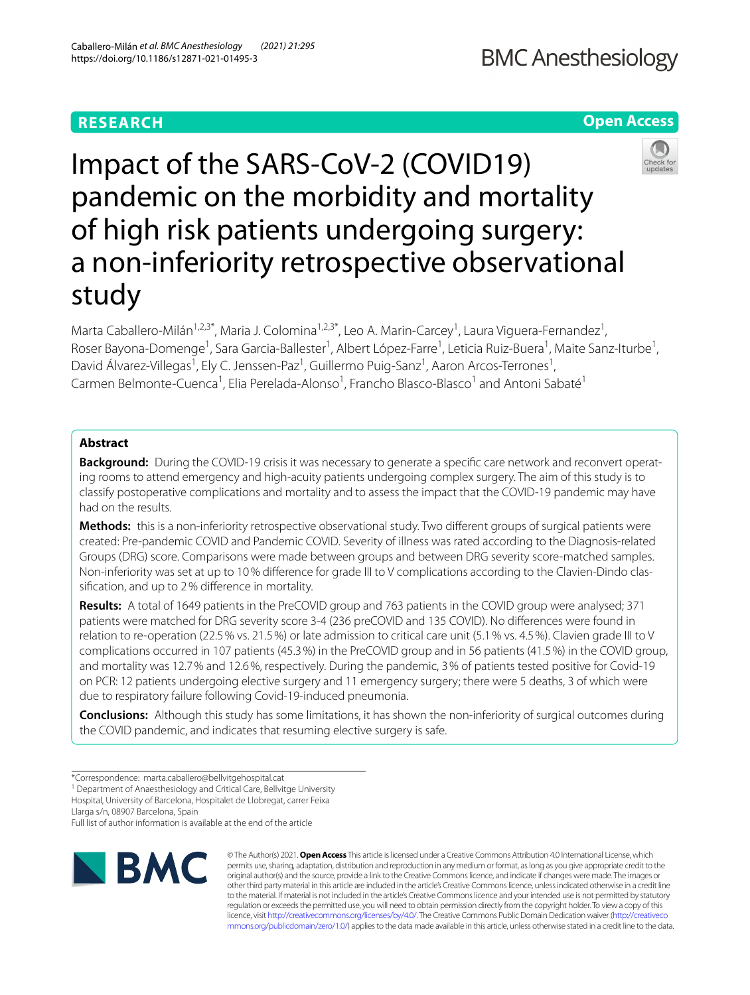# **RESEARCH**

# **Open Access**



Impact of the SARS‑CoV‑2 (COVID19) pandemic on the morbidity and mortality of high risk patients undergoing surgery: a non-inferiority retrospective observational study

Marta Caballero-Milán<sup>1,2,3\*</sup>, Maria J. Colomina<sup>1,2,3\*</sup>, Leo A. Marin-Carcey<sup>1</sup>, Laura Viguera-Fernandez<sup>1</sup>, Roser Bayona-Domenge<sup>1</sup>, Sara Garcia-Ballester<sup>1</sup>, Albert López-Farre<sup>1</sup>, Leticia Ruiz-Buera<sup>1</sup>, Maite Sanz-Iturbe<sup>1</sup>, David Álvarez-Villegas<sup>1</sup>, Ely C. Jenssen-Paz<sup>1</sup>, Guillermo Puig-Sanz<sup>1</sup>, Aaron Arcos-Terrones<sup>1</sup>, Carmen Belmonte-Cuenca<sup>1</sup>, Elia Perelada-Alonso<sup>1</sup>, Francho Blasco-Blasco<sup>1</sup> and Antoni Sabaté<sup>1</sup>

## **Abstract**

**Background:** During the COVID-19 crisis it was necessary to generate a specific care network and reconvert operating rooms to attend emergency and high-acuity patients undergoing complex surgery. The aim of this study is to classify postoperative complications and mortality and to assess the impact that the COVID-19 pandemic may have had on the results.

**Methods:** this is a non-inferiority retrospective observational study. Two diferent groups of surgical patients were created: Pre-pandemic COVID and Pandemic COVID. Severity of illness was rated according to the Diagnosis-related Groups (DRG) score. Comparisons were made between groups and between DRG severity score-matched samples. Non-inferiority was set at up to 10% difference for grade III to V complications according to the Clavien-Dindo classifcation, and up to 2% diference in mortality.

**Results:** A total of 1649 patients in the PreCOVID group and 763 patients in the COVID group were analysed; 371 patients were matched for DRG severity score 3-4 (236 preCOVID and 135 COVID). No diferences were found in relation to re-operation (22.5% vs. 21.5%) or late admission to critical care unit (5.1% vs. 4.5%). Clavien grade III to V complications occurred in 107 patients (45.3%) in the PreCOVID group and in 56 patients (41.5%) in the COVID group, and mortality was 12.7% and 12.6%, respectively. During the pandemic, 3% of patients tested positive for Covid-19 on PCR: 12 patients undergoing elective surgery and 11 emergency surgery; there were 5 deaths, 3 of which were due to respiratory failure following Covid-19-induced pneumonia.

**Conclusions:** Although this study has some limitations, it has shown the non-inferiority of surgical outcomes during the COVID pandemic, and indicates that resuming elective surgery is safe.

<sup>1</sup> Department of Anaesthesiology and Critical Care, Bellvitge University Hospital, University of Barcelona, Hospitalet de Llobregat, carrer Feixa

Llarga s/n, 08907 Barcelona, Spain

Full list of author information is available at the end of the article



© The Author(s) 2021. **Open Access** This article is licensed under a Creative Commons Attribution 4.0 International License, which permits use, sharing, adaptation, distribution and reproduction in any medium or format, as long as you give appropriate credit to the original author(s) and the source, provide a link to the Creative Commons licence, and indicate if changes were made. The images or other third party material in this article are included in the article's Creative Commons licence, unless indicated otherwise in a credit line to the material. If material is not included in the article's Creative Commons licence and your intended use is not permitted by statutory regulation or exceeds the permitted use, you will need to obtain permission directly from the copyright holder. To view a copy of this licence, visit [http://creativecommons.org/licenses/by/4.0/.](http://creativecommons.org/licenses/by/4.0/) The Creative Commons Public Domain Dedication waiver ([http://creativeco](http://creativecommons.org/publicdomain/zero/1.0/) [mmons.org/publicdomain/zero/1.0/](http://creativecommons.org/publicdomain/zero/1.0/)) applies to the data made available in this article, unless otherwise stated in a credit line to the data.

<sup>\*</sup>Correspondence: marta.caballero@bellvitgehospital.cat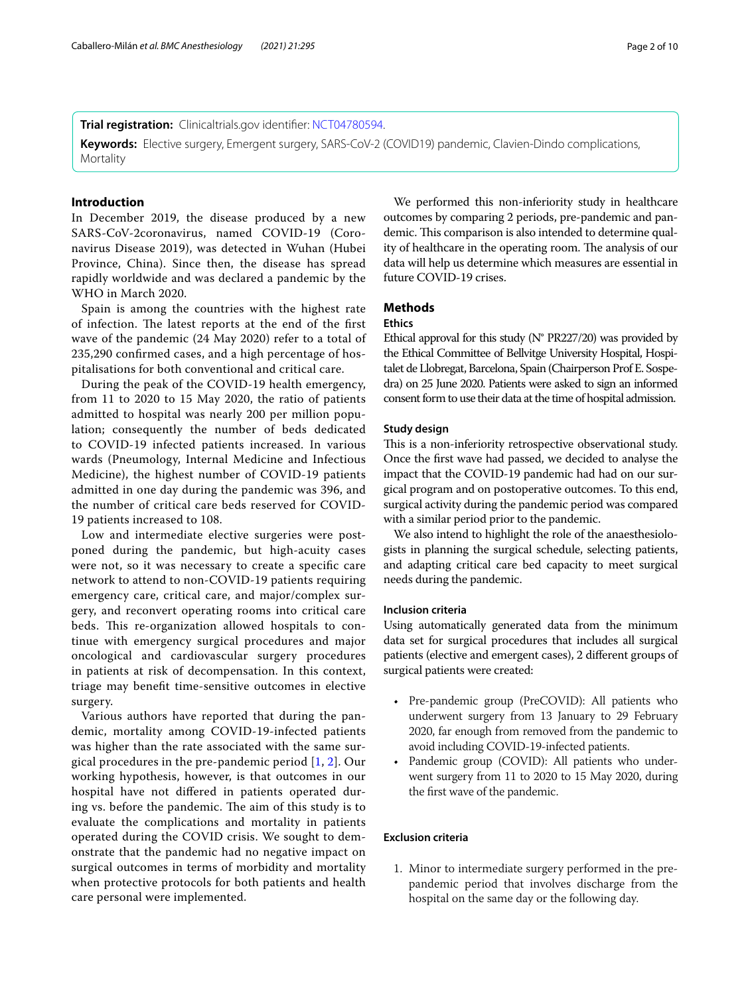**Trial registration:** Clinicaltrials.gov identifer: [NCT04780594](https://clinicaltrials.gov/ct2/show/NCT04780594?term=NCT04780594&draw=2&rank=1).

**Keywords:** Elective surgery, Emergent surgery, SARS-CoV-2 (COVID19) pandemic, Clavien-Dindo complications, **Mortality** 

## **Introduction**

In December 2019, the disease produced by a new SARS-CoV-2coronavirus, named COVID-19 (Coronavirus Disease 2019), was detected in Wuhan (Hubei Province, China). Since then, the disease has spread rapidly worldwide and was declared a pandemic by the WHO in March 2020.

Spain is among the countries with the highest rate of infection. The latest reports at the end of the first wave of the pandemic (24 May 2020) refer to a total of 235,290 confrmed cases, and a high percentage of hospitalisations for both conventional and critical care.

During the peak of the COVID-19 health emergency, from 11 to 2020 to 15 May 2020, the ratio of patients admitted to hospital was nearly 200 per million population; consequently the number of beds dedicated to COVID-19 infected patients increased. In various wards (Pneumology, Internal Medicine and Infectious Medicine), the highest number of COVID-19 patients admitted in one day during the pandemic was 396, and the number of critical care beds reserved for COVID-19 patients increased to 108.

Low and intermediate elective surgeries were postponed during the pandemic, but high-acuity cases were not, so it was necessary to create a specifc care network to attend to non-COVID-19 patients requiring emergency care, critical care, and major/complex surgery, and reconvert operating rooms into critical care beds. This re-organization allowed hospitals to continue with emergency surgical procedures and major oncological and cardiovascular surgery procedures in patients at risk of decompensation. In this context, triage may beneft time-sensitive outcomes in elective surgery.

Various authors have reported that during the pandemic, mortality among COVID-19-infected patients was higher than the rate associated with the same surgical procedures in the pre-pandemic period [\[1](#page-9-0), [2](#page-9-1)]. Our working hypothesis, however, is that outcomes in our hospital have not difered in patients operated during vs. before the pandemic. The aim of this study is to evaluate the complications and mortality in patients operated during the COVID crisis. We sought to demonstrate that the pandemic had no negative impact on surgical outcomes in terms of morbidity and mortality when protective protocols for both patients and health care personal were implemented.

We performed this non-inferiority study in healthcare outcomes by comparing 2 periods, pre-pandemic and pandemic. This comparison is also intended to determine quality of healthcare in the operating room. The analysis of our data will help us determine which measures are essential in future COVID-19 crises.

## **Methods**

## **Ethics**

Ethical approval for this study (N° PR227/20) was provided by the Ethical Committee of Bellvitge University Hospital, Hospitalet de Llobregat, Barcelona, Spain (Chairperson Prof E. Sospedra) on 25 June 2020. Patients were asked to sign an informed consent form to use their data at the time of hospital admission.

#### **Study design**

This is a non-inferiority retrospective observational study. Once the frst wave had passed, we decided to analyse the impact that the COVID-19 pandemic had had on our surgical program and on postoperative outcomes. To this end, surgical activity during the pandemic period was compared with a similar period prior to the pandemic.

We also intend to highlight the role of the anaesthesiologists in planning the surgical schedule, selecting patients, and adapting critical care bed capacity to meet surgical needs during the pandemic.

## **Inclusion criteria**

Using automatically generated data from the minimum data set for surgical procedures that includes all surgical patients (elective and emergent cases), 2 diferent groups of surgical patients were created:

- Pre-pandemic group (PreCOVID): All patients who underwent surgery from 13 January to 29 February 2020, far enough from removed from the pandemic to avoid including COVID-19-infected patients.
- Pandemic group (COVID): All patients who underwent surgery from 11 to 2020 to 15 May 2020, during the frst wave of the pandemic.

## **Exclusion criteria**

1. Minor to intermediate surgery performed in the prepandemic period that involves discharge from the hospital on the same day or the following day.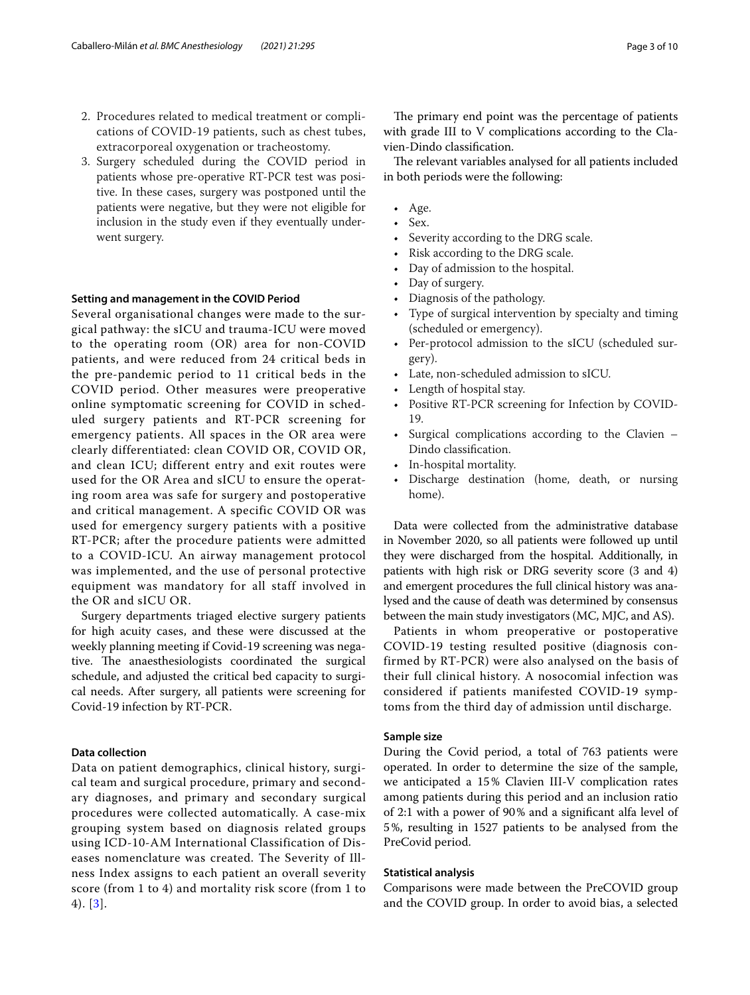- 2. Procedures related to medical treatment or complications of COVID-19 patients, such as chest tubes, extracorporeal oxygenation or tracheostomy.
- 3. Surgery scheduled during the COVID period in patients whose pre-operative RT-PCR test was positive. In these cases, surgery was postponed until the patients were negative, but they were not eligible for inclusion in the study even if they eventually underwent surgery.

#### **Setting and management in the COVID Period**

Several organisational changes were made to the surgical pathway: the sICU and trauma-ICU were moved to the operating room (OR) area for non-COVID patients, and were reduced from 24 critical beds in the pre-pandemic period to 11 critical beds in the COVID period. Other measures were preoperative online symptomatic screening for COVID in scheduled surgery patients and RT-PCR screening for emergency patients. All spaces in the OR area were clearly differentiated: clean COVID OR, COVID OR, and clean ICU; different entry and exit routes were used for the OR Area and sICU to ensure the operating room area was safe for surgery and postoperative and critical management. A specific COVID OR was used for emergency surgery patients with a positive RT-PCR; after the procedure patients were admitted to a COVID-ICU. An airway management protocol was implemented, and the use of personal protective equipment was mandatory for all staff involved in the OR and sICU OR.

Surgery departments triaged elective surgery patients for high acuity cases, and these were discussed at the weekly planning meeting if Covid-19 screening was negative. The anaesthesiologists coordinated the surgical schedule, and adjusted the critical bed capacity to surgical needs. After surgery, all patients were screening for Covid-19 infection by RT-PCR.

#### **Data collection**

Data on patient demographics, clinical history, surgical team and surgical procedure, primary and secondary diagnoses, and primary and secondary surgical procedures were collected automatically. A case-mix grouping system based on diagnosis related groups using ICD-10-AM International Classification of Diseases nomenclature was created. The Severity of Illness Index assigns to each patient an overall severity score (from 1 to 4) and mortality risk score (from 1 to 4). [[3](#page-9-2)].

The primary end point was the percentage of patients with grade III to V complications according to the Clavien-Dindo classifcation.

The relevant variables analysed for all patients included in both periods were the following:

- Age.
- Sex.
- Severity according to the DRG scale.
- Risk according to the DRG scale.
- Day of admission to the hospital.
- Day of surgery.
- Diagnosis of the pathology.
- Type of surgical intervention by specialty and timing (scheduled or emergency).
- Per-protocol admission to the sICU (scheduled surgery).
- Late, non-scheduled admission to sICU.
- Length of hospital stay.
- Positive RT-PCR screening for Infection by COVID-19.
- Surgical complications according to the Clavien Dindo classifcation.
- In-hospital mortality.
- Discharge destination (home, death, or nursing home).

Data were collected from the administrative database in November 2020, so all patients were followed up until they were discharged from the hospital. Additionally, in patients with high risk or DRG severity score (3 and 4) and emergent procedures the full clinical history was analysed and the cause of death was determined by consensus between the main study investigators (MC, MJC, and AS).

Patients in whom preoperative or postoperative COVID-19 testing resulted positive (diagnosis confirmed by RT-PCR) were also analysed on the basis of their full clinical history. A nosocomial infection was considered if patients manifested COVID-19 symptoms from the third day of admission until discharge.

### **Sample size**

During the Covid period, a total of 763 patients were operated. In order to determine the size of the sample, we anticipated a 15% Clavien III-V complication rates among patients during this period and an inclusion ratio of 2:1 with a power of 90% and a signifcant alfa level of 5%, resulting in 1527 patients to be analysed from the PreCovid period.

## **Statistical analysis**

Comparisons were made between the PreCOVID group and the COVID group. In order to avoid bias, a selected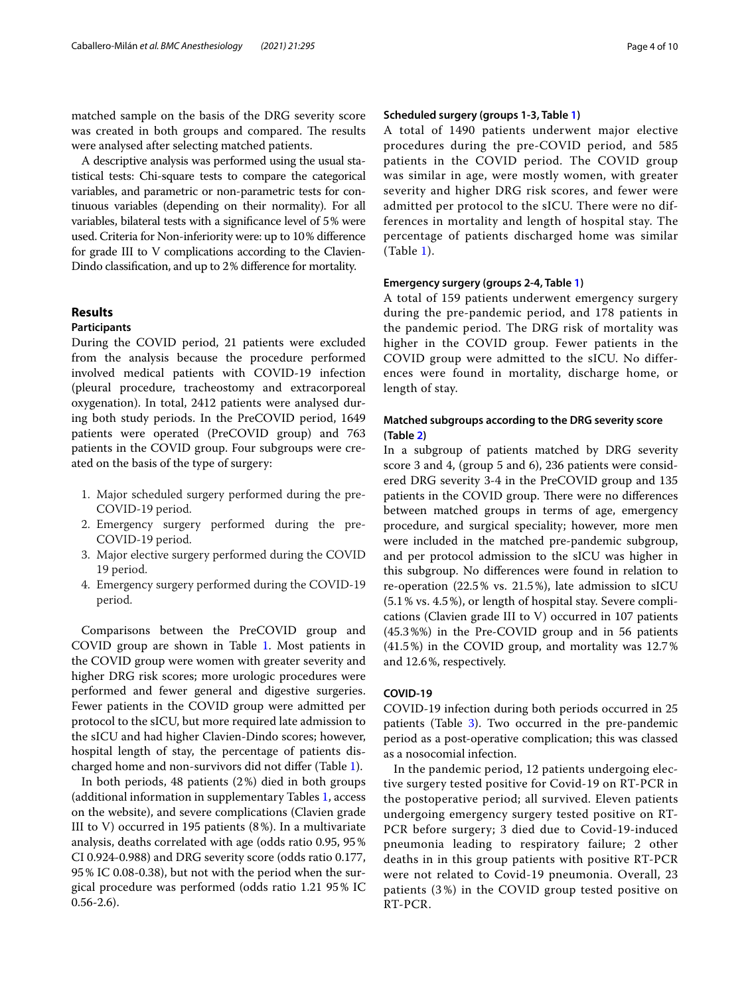matched sample on the basis of the DRG severity score was created in both groups and compared. The results were analysed after selecting matched patients.

A descriptive analysis was performed using the usual statistical tests: Chi-square tests to compare the categorical variables, and parametric or non-parametric tests for continuous variables (depending on their normality). For all variables, bilateral tests with a signifcance level of 5% were used. Criteria for Non-inferiority were: up to 10% diference for grade III to V complications according to the Clavien-Dindo classifcation, and up to 2% diference for mortality.

## **Results**

## **Participants**

During the COVID period, 21 patients were excluded from the analysis because the procedure performed involved medical patients with COVID-19 infection (pleural procedure, tracheostomy and extracorporeal oxygenation). In total, 2412 patients were analysed during both study periods. In the PreCOVID period, 1649 patients were operated (PreCOVID group) and 763 patients in the COVID group. Four subgroups were created on the basis of the type of surgery:

- 1. Major scheduled surgery performed during the pre-COVID-19 period.
- 2. Emergency surgery performed during the pre-COVID-19 period.
- 3. Major elective surgery performed during the COVID 19 period.
- 4. Emergency surgery performed during the COVID-19 period.

Comparisons between the PreCOVID group and COVID group are shown in Table [1](#page-4-0). Most patients in the COVID group were women with greater severity and higher DRG risk scores; more urologic procedures were performed and fewer general and digestive surgeries. Fewer patients in the COVID group were admitted per protocol to the sICU, but more required late admission to the sICU and had higher Clavien-Dindo scores; however, hospital length of stay, the percentage of patients discharged home and non-survivors did not difer (Table [1\)](#page-4-0).

In both periods, 48 patients (2%) died in both groups (additional information in supplementary Tables [1,](#page-8-0) access on the website), and severe complications (Clavien grade III to V) occurred in 195 patients (8%). In a multivariate analysis, deaths correlated with age (odds ratio 0.95, 95% CI 0.924-0.988) and DRG severity score (odds ratio 0.177, 95% IC 0.08-0.38), but not with the period when the surgical procedure was performed (odds ratio 1.21 95% IC  $0.56 - 2.6$ .

#### **Scheduled surgery (groups 1‑3, Table [1](#page-4-0))**

A total of 1490 patients underwent major elective procedures during the pre-COVID period, and 585 patients in the COVID period. The COVID group was similar in age, were mostly women, with greater severity and higher DRG risk scores, and fewer were admitted per protocol to the sICU. There were no differences in mortality and length of hospital stay. The percentage of patients discharged home was similar (Table [1](#page-4-0)).

#### **Emergency surgery (groups 2‑4, Table [1\)](#page-4-0)**

A total of 159 patients underwent emergency surgery during the pre-pandemic period, and 178 patients in the pandemic period. The DRG risk of mortality was higher in the COVID group. Fewer patients in the COVID group were admitted to the sICU. No differences were found in mortality, discharge home, or length of stay.

## **Matched subgroups according to the DRG severity score (Table [2](#page-5-0))**

In a subgroup of patients matched by DRG severity score 3 and 4, (group 5 and 6), 236 patients were considered DRG severity 3-4 in the PreCOVID group and 135 patients in the COVID group. There were no differences between matched groups in terms of age, emergency procedure, and surgical speciality; however, more men were included in the matched pre-pandemic subgroup, and per protocol admission to the sICU was higher in this subgroup. No diferences were found in relation to re-operation (22.5% vs. 21.5%), late admission to sICU (5.1% vs. 4.5%), or length of hospital stay. Severe complications (Clavien grade III to V) occurred in 107 patients (45.3%%) in the Pre-COVID group and in 56 patients (41.5%) in the COVID group, and mortality was 12.7% and 12.6%, respectively.

## **COVID‑19**

COVID-19 infection during both periods occurred in 25 patients (Table [3\)](#page-6-0). Two occurred in the pre-pandemic period as a post-operative complication; this was classed as a nosocomial infection.

In the pandemic period, 12 patients undergoing elective surgery tested positive for Covid-19 on RT-PCR in the postoperative period; all survived. Eleven patients undergoing emergency surgery tested positive on RT-PCR before surgery; 3 died due to Covid-19-induced pneumonia leading to respiratory failure; 2 other deaths in in this group patients with positive RT-PCR were not related to Covid-19 pneumonia. Overall, 23 patients (3%) in the COVID group tested positive on RT-PCR.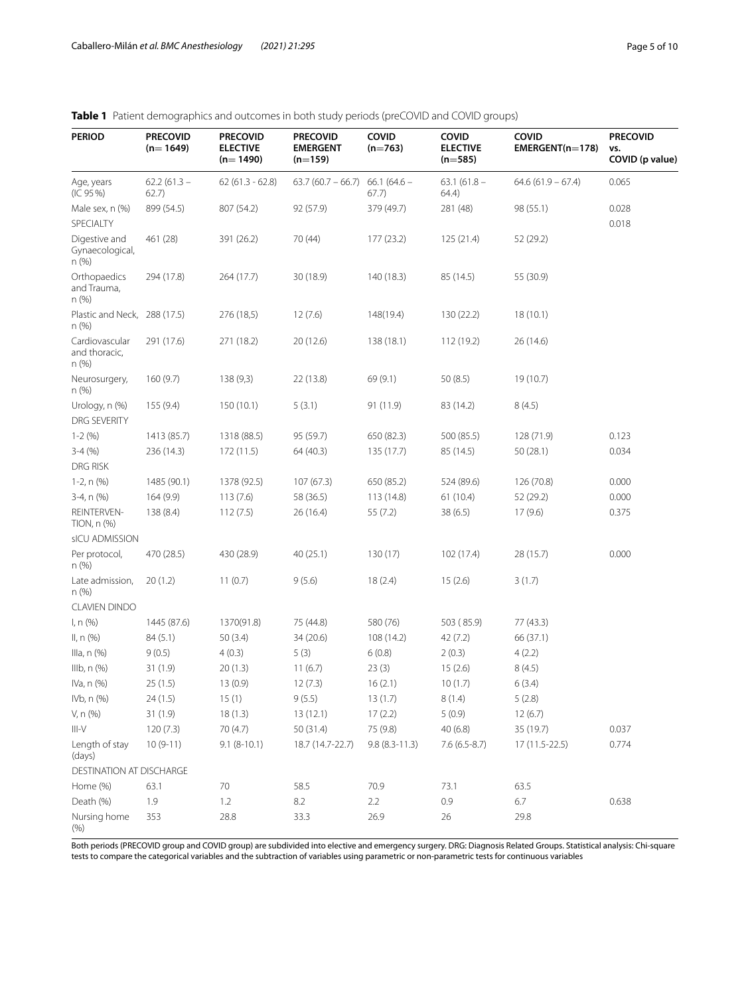<span id="page-4-0"></span>

| <b>PERIOD</b>                             | <b>PRECOVID</b><br>$(n=1649)$ | <b>PRECOVID</b><br><b>ELECTIVE</b><br>$(n=1490)$ | <b>PRECOVID</b><br><b>EMERGENT</b><br>$(n=159)$ | COVID<br>$(n=763)$     | COVID<br><b>ELECTIVE</b><br>$(n=585)$ | COVID<br>$EMERGENT(n=178)$ | <b>PRECOVID</b><br>VS.<br>COVID (p value) |
|-------------------------------------------|-------------------------------|--------------------------------------------------|-------------------------------------------------|------------------------|---------------------------------------|----------------------------|-------------------------------------------|
| Age, years<br>(IC 95%)                    | $62.2(61.3 -$<br>62.7)        | $62(61.3 - 62.8)$                                | $63.7(60.7 - 66.7)$                             | $66.1(64.6 -$<br>67.7) | $63.1(61.8 -$<br>64.4)                | $64.6(61.9 - 67.4)$        | 0.065                                     |
| Male sex, n (%)                           | 899 (54.5)                    | 807 (54.2)                                       | 92 (57.9)                                       | 379 (49.7)             | 281 (48)                              | 98 (55.1)                  | 0.028                                     |
| SPECIALTY                                 |                               |                                                  |                                                 |                        |                                       |                            | 0.018                                     |
| Digestive and<br>Gynaecological,<br>n (%) | 461 (28)                      | 391 (26.2)                                       | 70 (44)                                         | 177(23.2)              | 125 (21.4)                            | 52 (29.2)                  |                                           |
| Orthopaedics<br>and Trauma,<br>n (%)      | 294 (17.8)                    | 264 (17.7)                                       | 30 (18.9)                                       | 140 (18.3)             | 85 (14.5)                             | 55 (30.9)                  |                                           |
| Plastic and Neck,<br>n (%)                | 288 (17.5)                    | 276 (18,5)                                       | 12(7.6)                                         | 148(19.4)              | 130 (22.2)                            | 18(10.1)                   |                                           |
| Cardiovascular<br>and thoracic,<br>n (%)  | 291 (17.6)                    | 271 (18.2)                                       | 20 (12.6)                                       | 138 (18.1)             | 112 (19.2)                            | 26 (14.6)                  |                                           |
| Neurosurgery,<br>n (%)                    | 160(9.7)                      | 138(9,3)                                         | 22 (13.8)                                       | 69 (9.1)               | 50(8.5)                               | 19 (10.7)                  |                                           |
| Urology, n (%)                            | 155 (9.4)                     | 150(10.1)                                        | 5(3.1)                                          | 91 (11.9)              | 83 (14.2)                             | 8(4.5)                     |                                           |
| <b>DRG SEVERITY</b>                       |                               |                                                  |                                                 |                        |                                       |                            |                                           |
| $1 - 2(96)$                               | 1413 (85.7)                   | 1318 (88.5)                                      | 95 (59.7)                                       | 650 (82.3)             | 500 (85.5)                            | 128 (71.9)                 | 0.123                                     |
| $3-4(%)$                                  | 236 (14.3)                    | 172(11.5)                                        | 64 (40.3)                                       | 135 (17.7)             | 85 (14.5)                             | 50(28.1)                   | 0.034                                     |
| DRG RISK                                  |                               |                                                  |                                                 |                        |                                       |                            |                                           |
| 1-2, n (%)                                | 1485 (90.1)                   | 1378 (92.5)                                      | 107(67.3)                                       | 650 (85.2)             | 524 (89.6)                            | 126 (70.8)                 | 0.000                                     |
| 3-4, n (%)                                | 164(9.9)                      | 113(7.6)                                         | 58 (36.5)                                       | 113 (14.8)             | 61(10.4)                              | 52 (29.2)                  | 0.000                                     |
| REINTERVEN-<br>TION, n (%)                | 138(8.4)                      | 112(7.5)                                         | 26 (16.4)                                       | 55 (7.2)               | 38(6.5)                               | 17(9.6)                    | 0.375                                     |
| sICU ADMISSION                            |                               |                                                  |                                                 |                        |                                       |                            |                                           |
| Per protocol,<br>n (%)                    | 470 (28.5)                    | 430 (28.9)                                       | 40 (25.1)                                       | 130(17)                | 102 (17.4)                            | 28 (15.7)                  | 0.000                                     |
| Late admission,<br>$n$ (%)                | 20(1.2)                       | 11(0.7)                                          | 9(5.6)                                          | 18(2.4)                | 15(2.6)                               | 3(1.7)                     |                                           |
| <b>CLAVIEN DINDO</b>                      |                               |                                                  |                                                 |                        |                                       |                            |                                           |
| I, n (%)                                  | 1445 (87.6)                   | 1370(91.8)                                       | 75 (44.8)                                       | 580 (76)               | 503 (85.9)                            | 77 (43.3)                  |                                           |
| II, n (%)                                 | 84(5.1)                       | 50(3.4)                                          | 34 (20.6)                                       | 108 (14.2)             | 42 (7.2)                              | 66 (37.1)                  |                                           |
| Illa, $n$ $(\%)$                          | 9(0.5)                        | 4(0.3)                                           | 5(3)                                            | 6(0.8)                 | 2(0.3)                                | 4(2.2)                     |                                           |
| IIIb, $n$ $(\%)$                          | 31(1.9)                       | 20(1.3)                                          | 11(6.7)                                         | 23(3)                  | 15(2.6)                               | 8(4.5)                     |                                           |
| IVa, n (%)                                | 25(1.5)                       | 13(0.9)                                          | 12(7.3)                                         | 16(2.1)                | 10(1.7)                               | 6(3.4)                     |                                           |
| IVb, n (%)                                | 24 (1.5)                      | 15(1)                                            | 9(5.5)                                          | 13(1.7)                | 8(1.4)                                | 5(2.8)                     |                                           |
| V, n (%)                                  | 31(1.9)                       | 18(1.3)                                          | 13(12.1)                                        | 17(2.2)                | 5(0.9)                                | 12(6.7)                    |                                           |
| $\vert\vert\vert$ -V                      | 120(7.3)                      | 70(4.7)                                          | 50 (31.4)                                       | 75 (9.8)               | 40(6.8)                               | 35 (19.7)                  | 0.037                                     |
| Length of stay<br>(days)                  | $10(9-11)$                    | $9.1(8-10.1)$                                    | 18.7 (14.7-22.7)                                | $9.8(8.3 - 11.3)$      | $7.6(6.5-8.7)$                        | 17 (11.5-22.5)             | 0.774                                     |
| DESTINATION AT DISCHARGE                  |                               |                                                  |                                                 |                        |                                       |                            |                                           |
| Home (%)                                  | 63.1                          | 70                                               | 58.5                                            | 70.9                   | 73.1                                  | 63.5                       |                                           |
| Death (%)                                 | 1.9                           | 1.2                                              | 8.2                                             | 2.2                    | 0.9                                   | 6.7                        | 0.638                                     |
| Nursing home<br>(% )                      | 353                           | 28.8                                             | 33.3                                            | 26.9                   | 26                                    | 29.8                       |                                           |

Both periods (PRECOVID group and COVID group) are subdivided into elective and emergency surgery. DRG: Diagnosis Related Groups. Statistical analysis: Chi-square tests to compare the categorical variables and the subtraction of variables using parametric or non-parametric tests for continuous variables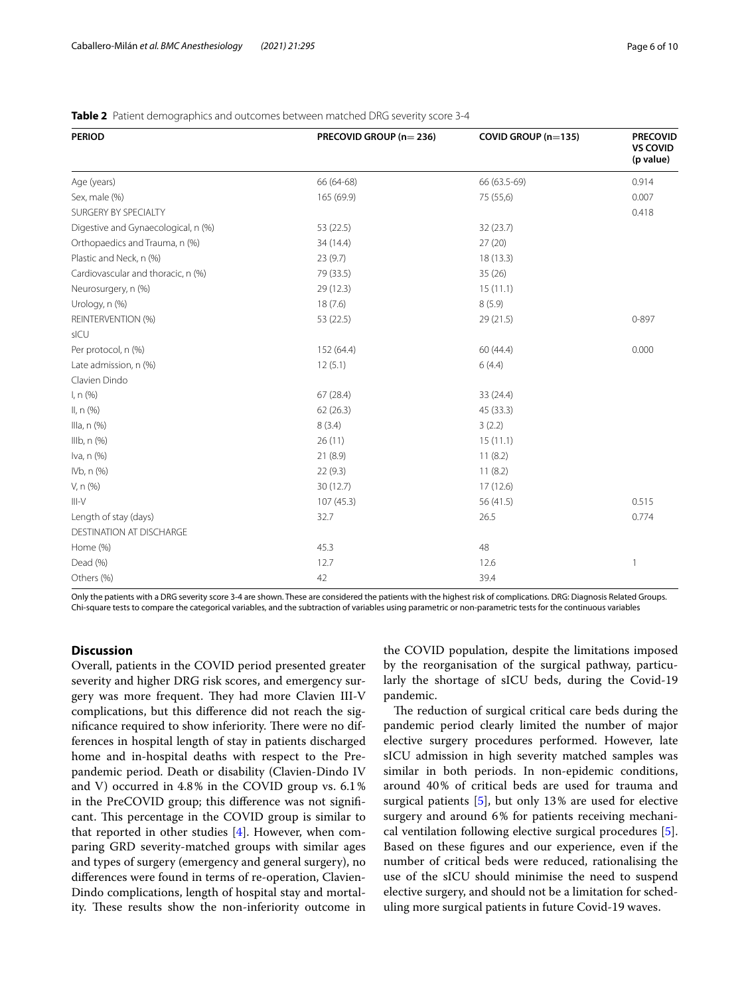| <b>PERIOD</b>                       | PRECOVID GROUP (n=236) | COVID GROUP (n=135) | <b>PRECOVID</b><br><b>VS COVID</b><br>(p value) |
|-------------------------------------|------------------------|---------------------|-------------------------------------------------|
| Age (years)                         | 66 (64-68)             | 66 (63.5-69)        | 0.914                                           |
| Sex, male (%)                       | 165 (69.9)             | 75 (55,6)           | 0.007                                           |
| SURGERY BY SPECIALTY                |                        |                     | 0.418                                           |
| Digestive and Gynaecological, n (%) | 53 (22.5)              | 32 (23.7)           |                                                 |
| Orthopaedics and Trauma, n (%)      | 34 (14.4)              | 27(20)              |                                                 |
| Plastic and Neck, n (%)             | 23(9.7)                | 18(13.3)            |                                                 |
| Cardiovascular and thoracic, n (%)  | 79 (33.5)              | 35(26)              |                                                 |
| Neurosurgery, n (%)                 | 29 (12.3)              | 15(11.1)            |                                                 |
| Urology, n (%)                      | 18(7.6)                | 8(5.9)              |                                                 |
| REINTERVENTION (%)                  | 53 (22.5)              | 29 (21.5)           | 0-897                                           |
| sICU                                |                        |                     |                                                 |
| Per protocol, n (%)                 | 152 (64.4)             | 60 (44.4)           | 0.000                                           |
| Late admission, n (%)               | 12(5.1)                | 6(4.4)              |                                                 |
| Clavien Dindo                       |                        |                     |                                                 |
| I, n (%)                            | 67(28.4)               | 33 (24.4)           |                                                 |
| II, n (%)                           | 62(26.3)               | 45 (33.3)           |                                                 |
| Illa, n (%)                         | 8(3.4)                 | 3(2.2)              |                                                 |
| IIIb, n (%)                         | 26(11)                 | 15(11.1)            |                                                 |
| Iva, n (%)                          | 21(8.9)                | 11(8.2)             |                                                 |
| IVb, n (%)                          | 22(9.3)                | 11(8.2)             |                                                 |
| V, n (%)                            | 30(12.7)               | 17(12.6)            |                                                 |
| $III-V$                             | 107(45.3)              | 56 (41.5)           | 0.515                                           |
| Length of stay (days)               | 32.7                   | 26.5                | 0.774                                           |
| <b>DESTINATION AT DISCHARGE</b>     |                        |                     |                                                 |
| Home (%)                            | 45.3                   | 48                  |                                                 |
| Dead (%)                            | 12.7                   | 12.6                | $\mathbf{1}$                                    |
| Others (%)                          | 42                     | 39.4                |                                                 |

## <span id="page-5-0"></span>**Table 2** Patient demographics and outcomes between matched DRG severity score 3-4

Only the patients with a DRG severity score 3-4 are shown. These are considered the patients with the highest risk of complications. DRG: Diagnosis Related Groups. Chi-square tests to compare the categorical variables, and the subtraction of variables using parametric or non-parametric tests for the continuous variables

## **Discussion**

Overall, patients in the COVID period presented greater severity and higher DRG risk scores, and emergency surgery was more frequent. They had more Clavien III-V complications, but this diference did not reach the significance required to show inferiority. There were no differences in hospital length of stay in patients discharged home and in-hospital deaths with respect to the Prepandemic period. Death or disability (Clavien-Dindo IV and V) occurred in 4.8% in the COVID group vs. 6.1% in the PreCOVID group; this diference was not signifcant. This percentage in the COVID group is similar to that reported in other studies  $[4]$  $[4]$ . However, when comparing GRD severity-matched groups with similar ages and types of surgery (emergency and general surgery), no diferences were found in terms of re-operation, Clavien-Dindo complications, length of hospital stay and mortality. These results show the non-inferiority outcome in

the COVID population, despite the limitations imposed by the reorganisation of the surgical pathway, particularly the shortage of sICU beds, during the Covid-19 pandemic.

The reduction of surgical critical care beds during the pandemic period clearly limited the number of major elective surgery procedures performed. However, late sICU admission in high severity matched samples was similar in both periods. In non-epidemic conditions, around 40% of critical beds are used for trauma and surgical patients [\[5](#page-9-4)], but only 13% are used for elective surgery and around 6% for patients receiving mechanical ventilation following elective surgical procedures [\[5](#page-9-4)]. Based on these fgures and our experience, even if the number of critical beds were reduced, rationalising the use of the sICU should minimise the need to suspend elective surgery, and should not be a limitation for scheduling more surgical patients in future Covid-19 waves.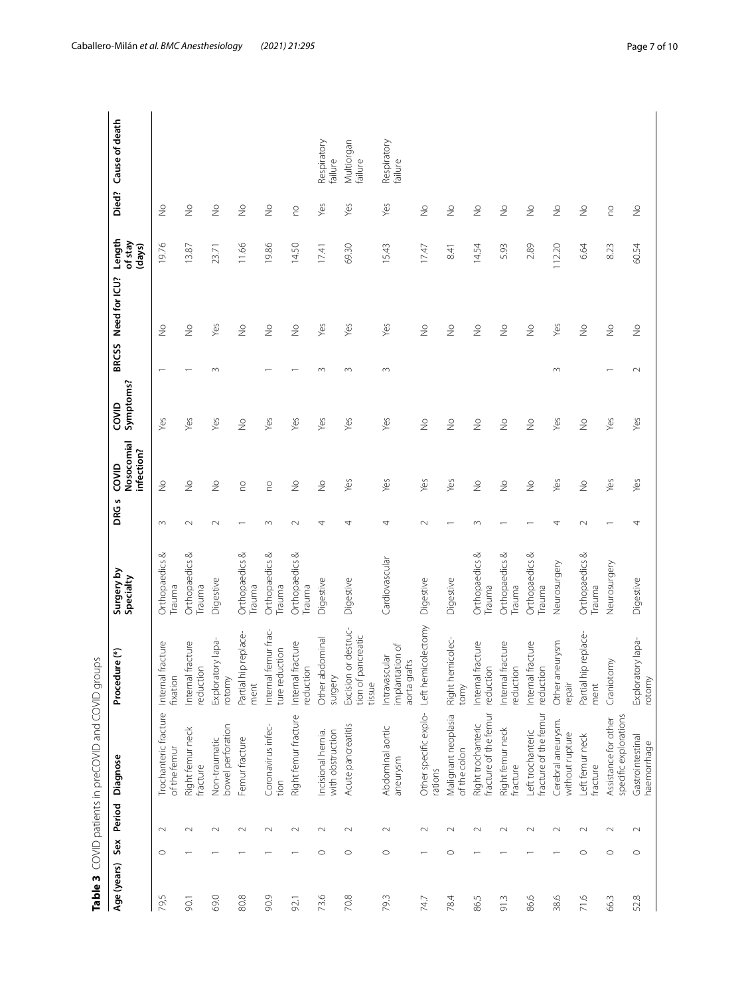|             |         |        | Table 3 COVID patients in preCOVID and COVID groups |                                                              |                             |          |                                   |                    |              |                          |                             |               |                        |
|-------------|---------|--------|-----------------------------------------------------|--------------------------------------------------------------|-----------------------------|----------|-----------------------------------|--------------------|--------------|--------------------------|-----------------------------|---------------|------------------------|
| Age (years) | Sex     | Period | Diagnose                                            | ure (*)<br>Proced                                            | Surgery by<br>Specialty     | S<br>DRG | Nosocomial<br>infection?<br>COVID | Symptoms?<br>COVID | <b>BRCSS</b> | Need for ICU?            | Length<br>of stay<br>(days) | Died?         | Cause of death         |
| 79,5        | $\circ$ | $\sim$ | Trochanteric fracture<br>of the femur               | fracture<br>Internal<br>fixation                             | ∞<br>Orthopaedics<br>Trauma | $\infty$ | $\stackrel{\circ}{\geq}$          | Yes                |              | $\frac{1}{2}$            | 19.76                       | $\frac{1}{2}$ |                        |
| 90.1        |         | $\sim$ | Right femur neck<br>fracture                        | fracture<br>reduction<br>Internal                            | Orthopaedics &<br>Trauma    | $\sim$   | $\stackrel{\circ}{\geq}$          | Yes                |              | $\stackrel{\circ}{\geq}$ | 13.87                       | $\geq$        |                        |
| 69.0        |         | $\sim$ | bowel perforation<br>Non-traumatic                  | Exploratory lapa-<br>rotomy                                  | Digestive                   | $\sim$   | $\frac{1}{2}$                     | Yes                | $\infty$     | Yes                      | 23.71                       | $\frac{1}{2}$ |                        |
| 80.8        |         | $\sim$ | Femur fracture                                      | p replace-<br>Partial hi<br>ment                             | Orthopaedics &<br>Trauma    |          | S                                 | $\geq$             |              | $\geq$                   | 11.66                       | $\frac{1}{2}$ |                        |
| 90.9        |         | $\sim$ | Coronavirus infec-<br>tion                          | femur frac-<br>uction<br>Internal<br>ture red                | ∞<br>Orthopaedics<br>Trauma | $\sim$   | S                                 | Yes                |              | $\frac{1}{2}$            | 19.86                       | $\frac{1}{2}$ |                        |
| 92.1        |         | $\sim$ | Right femur fracture                                | fracture<br>reduction<br>Internal                            | Orthopaedics &<br>Trauma    | $\sim$   | $\stackrel{\circ}{\geq}$          | Yes                |              | $\geq$                   | 14.50                       | S             |                        |
| 73.6        | $\circ$ | $\sim$ | with obstruction<br>Incisional hernia.              | Other abdominal<br>surgery                                   | Digestive                   | 4        | $\frac{1}{2}$                     | Yes                | $\infty$     | Yes                      | 17.41                       | Yes           | Respiratory<br>failure |
| 70.8        | $\circ$ | $\sim$ | Acute pancreatitis                                  | or destruc-<br>ancreatic<br>tion of pa<br>Excision<br>tissue | Digestive                   | 4        | Yes                               | Yes                | $\infty$     | Yes                      | 69.30                       | Yes           | Multiorgan<br>failure  |
| 79.3        | $\circ$ | $\sim$ | Abdominal aortic<br>aneurysm                        | implantation of<br>Intravascular<br>aorta grafts             | Cardiovascular              | 4        | Yes                               | Yes                | $\sim$       | Yes                      | 15.43                       | Yes           | Respiratory<br>failure |
| 74.7        |         | $\sim$ | Other specific explo-<br>rations                    | Left hemicolectomy                                           | Digestive                   | $\sim$   | Yes                               | $\geq$             |              | $\frac{1}{2}$            | 17.47                       | $\frac{1}{2}$ |                        |
| 78.4        | $\circ$ | $\sim$ | Malignant neoplasia<br>of the colon                 | Right hemicolec-<br>tomy                                     | Digestive                   |          | Yes                               | $\frac{1}{2}$      |              | $\frac{1}{2}$            | 8.41                        | $\frac{1}{2}$ |                        |
| 86.5        |         | $\sim$ | fracture of the femur<br>Right trochanteric         | fracture<br>reduction<br>Internal                            | Orthopaedics &<br>Trauma    | $\infty$ | $\frac{1}{2}$                     | $\frac{1}{2}$      |              | $\geqq$                  | 14.54                       | $\frac{1}{2}$ |                        |
| 91.3        |         | $\sim$ | Right femur neck<br>fracture                        | Internal fracture<br>reduction                               | ∞<br>Orthopaedics<br>Trauma |          | $\frac{1}{2}$                     | $\frac{1}{2}$      |              | $\geq$                   | 5.93                        | $\frac{1}{2}$ |                        |
| 86.6        |         | $\sim$ | fracture of the femur<br>Left trochanteric          | fracture<br>reduction<br>Internal                            | Orthopaedics &<br>Trauma    |          | $\geq$                            | $\geq$             |              | $\frac{1}{2}$            | 2.89                        | $\frac{1}{2}$ |                        |
| 38.6        |         | $\sim$ | Cerebral aneurysm.<br>without rupture               | Other aneurysm<br>repair                                     | Neurosurgery                | 4        | Yes                               | Yes                | $\sim$       | Yes                      | 112.20                      | $\frac{1}{2}$ |                        |
| 71.6        | $\circ$ | $\sim$ | eft femur neck<br>fracture                          | p replace-<br>Partial hi<br>ment                             | Orthopaedics &<br>Trauma    | $\sim$   | $\geq$                            | $\geq$             |              | $\geq$                   | 6.64                        | $\geq$        |                        |
| 66.3        | $\circ$ | $\sim$ | specific explorations<br>Assistance for other       | Craniotomy                                                   | Neurosurgery                |          | Yes                               | Yes                |              | $\frac{1}{2}$            | 8.23                        | S             |                        |
| 52.8        | $\circ$ | $\sim$ | Gastrointestinal<br>haemorrhage                     | Exploratory lapa-<br>rotomy                                  | Digestive                   | 4        | Yes                               | Yes                | $\sim$       | $\stackrel{\circ}{\geq}$ | 60.54                       | $\geq$        |                        |

<span id="page-6-0"></span>Table 3 COVID patients in preCOVID and COVID groups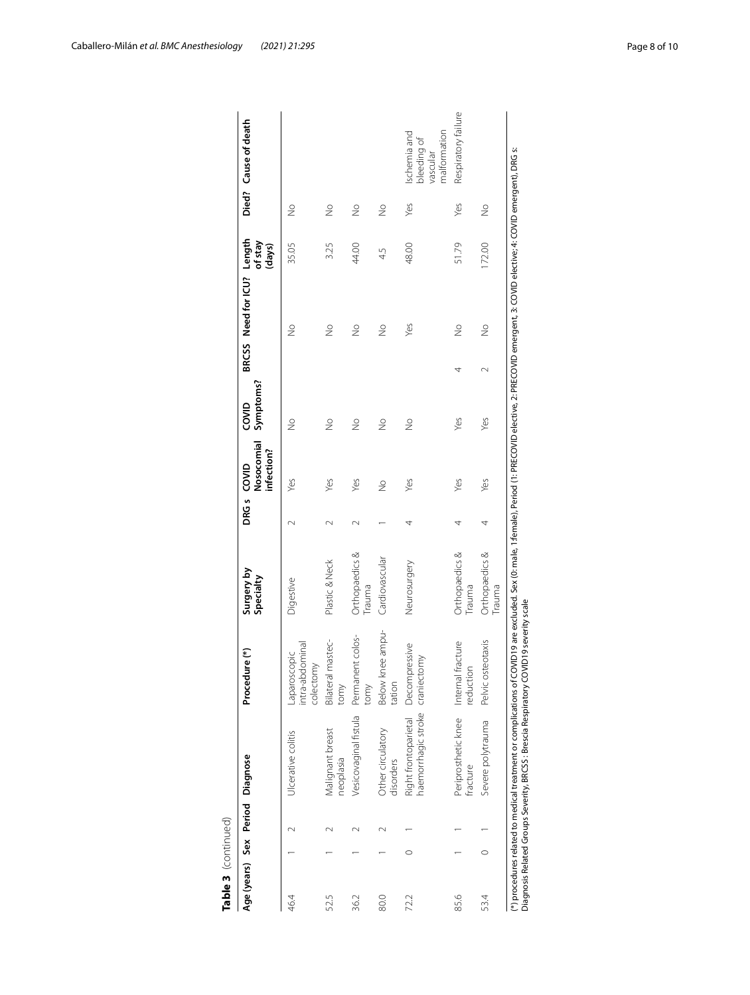| Age (years) Sex Period Diagnose |         |                                                                                                                                                                                                                                                                                                           | Procedure (*)                                | Surgery by<br>Specialty         |        | Nosocomial<br>infection?<br>DRG <sub>s</sub> COVID | Symptoms?<br>COVID |        | BRCSS Need for ICU? Length | of stay<br>(days) |               | Died? Cause of death                                    |
|---------------------------------|---------|-----------------------------------------------------------------------------------------------------------------------------------------------------------------------------------------------------------------------------------------------------------------------------------------------------------|----------------------------------------------|---------------------------------|--------|----------------------------------------------------|--------------------|--------|----------------------------|-------------------|---------------|---------------------------------------------------------|
| 46.4                            |         | Ulcerative colitis                                                                                                                                                                                                                                                                                        | intra-abdominal<br>-aparoscopic<br>colectomy | Digestive                       | $\sim$ | Yes                                                | $\frac{1}{2}$      |        | $\frac{1}{2}$              | 35.05             | $\frac{1}{2}$ |                                                         |
| 52.5                            |         | Malignant breast<br>heoplasia                                                                                                                                                                                                                                                                             | Bilateral mastec-<br>tomy                    | Plastic & Neck                  | $\sim$ | Yes                                                | $\frac{1}{2}$      |        | $\frac{1}{2}$              | 3.25              | $\frac{1}{2}$ |                                                         |
| 36.2                            |         | Vesicovaginal fistula                                                                                                                                                                                                                                                                                     | Permanent colos-<br>tomy                     | Orthopaedics &<br>Trauma        |        | Yes                                                | $\frac{1}{2}$      |        | $\frac{1}{2}$              | 44.00             | $\frac{1}{2}$ |                                                         |
| 80.0                            |         | Other circulatory<br>disorders                                                                                                                                                                                                                                                                            | Below knee ampu-<br>tation                   | Cardiovascular                  |        | $\frac{1}{2}$                                      | $\frac{1}{2}$      |        | $\frac{1}{2}$              | 45                | $\frac{1}{2}$ |                                                         |
| 72.2                            | 0       | haemorrhagic stroke<br>Right frontoparietal                                                                                                                                                                                                                                                               | Decompressive<br>craniectomy                 | Neurosurgery                    | 4      | Yes                                                | $\frac{1}{2}$      |        | Yes                        | 48.00             | Yes           | malformation<br>Ischemia and<br>bleeding of<br>vascular |
| 85.6                            |         | Periprosthetic knee<br>fracture                                                                                                                                                                                                                                                                           | Internal fracture<br>reduction               | Orthopaedics &<br>Trauma        | 4      | Yes                                                | Yes                | 4      | $\frac{1}{2}$              | 51.79             | Yes           | Respiratory failure                                     |
| 53.4                            | $\circ$ | Severe polytrauma                                                                                                                                                                                                                                                                                         | Pelvic osteotaxis                            | Orthopaedics &<br><b>Frauma</b> | 4      | Yes                                                | Yes                | $\sim$ | $\frac{1}{2}$              | 172.00            | $\frac{1}{2}$ |                                                         |
|                                 |         | (*) procedures related to medical treatment or complications of COVID19 are excluded. Sex (0: male, 1:female), Period (1: PRECOVID elective, 2: PRECOVID emergent, 3: COVID elective, 4: COVID emergent), DRG s:<br>Diagnosis Related Groups Severity, BRCSS : Brescia Respiratory COVID19 severity scale |                                              |                                 |        |                                                    |                    |        |                            |                   |               |                                                         |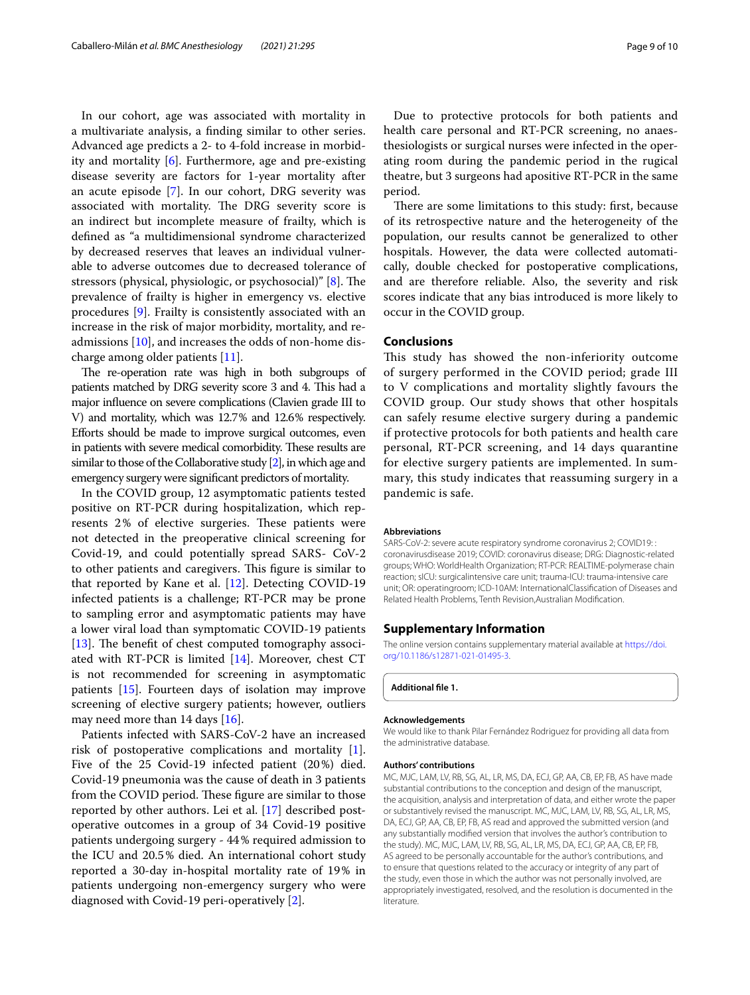In our cohort, age was associated with mortality in a multivariate analysis, a fnding similar to other series. Advanced age predicts a 2- to 4-fold increase in morbidity and mortality [[6\]](#page-9-5). Furthermore, age and pre-existing disease severity are factors for 1-year mortality after an acute episode [\[7](#page-9-6)]. In our cohort, DRG severity was associated with mortality. The DRG severity score is an indirect but incomplete measure of frailty, which is defned as "a multidimensional syndrome characterized by decreased reserves that leaves an individual vulnerable to adverse outcomes due to decreased tolerance of stressors (physical, physiologic, or psychosocial)" [\[8](#page-9-7)]. The prevalence of frailty is higher in emergency vs. elective procedures [[9\]](#page-9-8). Frailty is consistently associated with an increase in the risk of major morbidity, mortality, and readmissions [\[10](#page-9-9)], and increases the odds of non-home discharge among older patients [[11\]](#page-9-10).

The re-operation rate was high in both subgroups of patients matched by DRG severity score 3 and 4. This had a major infuence on severe complications (Clavien grade III to V) and mortality, which was 12.7% and 12.6% respectively. Eforts should be made to improve surgical outcomes, even in patients with severe medical comorbidity. These results are similar to those of the Collaborative study [\[2\]](#page-9-1), in which age and emergency surgery were signifcant predictors of mortality.

In the COVID group, 12 asymptomatic patients tested positive on RT-PCR during hospitalization, which represents 2% of elective surgeries. These patients were not detected in the preoperative clinical screening for Covid-19, and could potentially spread SARS- CoV-2 to other patients and caregivers. This figure is similar to that reported by Kane et al. [\[12](#page-9-11)]. Detecting COVID-19 infected patients is a challenge; RT-PCR may be prone to sampling error and asymptomatic patients may have a lower viral load than symptomatic COVID-19 patients [ $13$ ]. The benefit of chest computed tomography associated with RT-PCR is limited [\[14\]](#page-9-13). Moreover, chest CT is not recommended for screening in asymptomatic patients [\[15](#page-9-14)]. Fourteen days of isolation may improve screening of elective surgery patients; however, outliers may need more than 14 days [[16](#page-9-15)].

Patients infected with SARS-CoV-2 have an increased risk of postoperative complications and mortality [\[1](#page-9-0)]. Five of the 25 Covid-19 infected patient (20%) died. Covid-19 pneumonia was the cause of death in 3 patients from the COVID period. These figure are similar to those reported by other authors. Lei et al. [[17\]](#page-9-16) described postoperative outcomes in a group of 34 Covid-19 positive patients undergoing surgery - 44% required admission to the ICU and 20.5% died. An international cohort study reported a 30-day in-hospital mortality rate of 19% in patients undergoing non-emergency surgery who were diagnosed with Covid-19 peri-operatively [[2\]](#page-9-1).

Due to protective protocols for both patients and health care personal and RT-PCR screening, no anaesthesiologists or surgical nurses were infected in the operating room during the pandemic period in the rugical theatre, but 3 surgeons had apositive RT-PCR in the same period.

There are some limitations to this study: first, because of its retrospective nature and the heterogeneity of the population, our results cannot be generalized to other hospitals. However, the data were collected automatically, double checked for postoperative complications, and are therefore reliable. Also, the severity and risk scores indicate that any bias introduced is more likely to occur in the COVID group.

#### **Conclusions**

This study has showed the non-inferiority outcome of surgery performed in the COVID period; grade III to V complications and mortality slightly favours the COVID group. Our study shows that other hospitals can safely resume elective surgery during a pandemic if protective protocols for both patients and health care personal, RT-PCR screening, and 14 days quarantine for elective surgery patients are implemented. In summary, this study indicates that reassuming surgery in a pandemic is safe.

#### **Abbreviations**

SARS-CoV-2: severe acute respiratory syndrome coronavirus 2; COVID19: : coronavirusdisease 2019; COVID: coronavirus disease; DRG: Diagnostic-related groups; WHO: WorldHealth Organization; RT-PCR: REALTIME-polymerase chain reaction; sICU: surgicalintensive care unit; trauma-ICU: trauma-intensive care unit; OR: operatingroom; ICD-10AM: InternationalClassifcation of Diseases and Related Health Problems, Tenth Revision,Australian Modifcation.

#### **Supplementary Information**

The online version contains supplementary material available at [https://doi.](https://doi.org/10.1186/s12871-021-01495-3) [org/10.1186/s12871-021-01495-3](https://doi.org/10.1186/s12871-021-01495-3).

<span id="page-8-0"></span>**Additional fle 1.**

#### **Acknowledgements**

We would like to thank Pilar Fernández Rodriguez for providing all data from the administrative database.

#### **Authors' contributions**

MC, MJC, LAM, LV, RB, SG, AL, LR, MS, DA, ECJ, GP, AA, CB, EP, FB, AS have made substantial contributions to the conception and design of the manuscript, the acquisition, analysis and interpretation of data, and either wrote the paper or substantively revised the manuscript. MC, MJC, LAM, LV, RB, SG, AL, LR, MS, DA, ECJ, GP, AA, CB, EP, FB, AS read and approved the submitted version (and any substantially modifed version that involves the author's contribution to the study). MC, MJC, LAM, LV, RB, SG, AL, LR, MS, DA, ECJ, GP, AA, CB, EP, FB, AS agreed to be personally accountable for the author's contributions, and to ensure that questions related to the accuracy or integrity of any part of the study, even those in which the author was not personally involved, are appropriately investigated, resolved, and the resolution is documented in the literature.